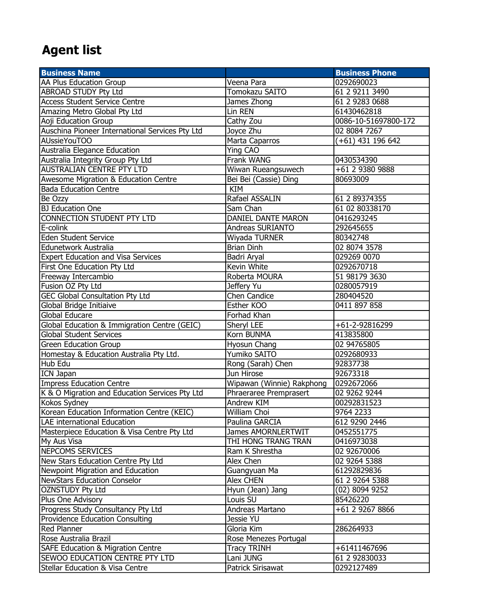## Agent list

| <b>Business Name</b>                            |                           | <b>Business Phone</b>        |
|-------------------------------------------------|---------------------------|------------------------------|
| AA Plus Education Group                         | Veena Para                | 0292690023                   |
| ABROAD STUDY Pty Ltd                            | <b>Tomokazu SAITO</b>     | 61 2 9211 3490               |
| <b>Access Student Service Centre</b>            | James Zhong               | 61 2 9283 0688               |
| Amazing Metro Global Pty Ltd                    | Lin REN                   | 61430462818                  |
| Aoji Education Group                            | Cathy Zou                 | 0086-10-51697800-172         |
| Auschina Pioneer International Services Pty Ltd | Joyce Zhu                 | 02 8084 7267                 |
| AUssieYouTOO                                    | Marta Caparros            | (+61) 431 196 642            |
| <b>Australia Elegance Education</b>             | Ying CAO                  |                              |
| Australia Integrity Group Pty Ltd               | Frank WANG                | 0430534390                   |
| <b>AUSTRALIAN CENTRE PTY LTD</b>                | Wiwan Rueangsuwech        | +61 2 9380 9888              |
| Awesome Migration & Education Centre            | Bei Bei (Cassie) Ding     | 80693009                     |
| <b>Bada Education Centre</b>                    | <b>KIM</b>                |                              |
| Be Ozzy                                         | Rafael ASSALIN            | 61 2 89374355                |
| <b>BJ Education One</b>                         | Sam Chan                  | 61 02 80338170               |
| CONNECTION STUDENT PTY LTD                      | DANIEL DANTE MARON        | 0416293245                   |
| E-colink                                        | Andreas SURIANTO          | 292645655                    |
| <b>Eden Student Service</b>                     | Wiyada TURNER             | 80342748                     |
| Edunetwork Australia                            | <b>Brian Dinh</b>         | 02 8074 3578                 |
| <b>Expert Education and Visa Services</b>       | Badri Aryal               | 029269 0070                  |
| First One Education Pty Ltd                     | Kevin White               | 0292670718                   |
| Freeway Intercambio                             | Roberta MOURA             | 51 98179 3630                |
| Fusion OZ Pty Ltd                               | Jeffery Yu                | 0280057919                   |
| <b>GEC Global Consultation Pty Ltd</b>          | <b>Chen Candice</b>       | 280404520                    |
| Global Bridge Initiaive                         | Esther KOO                | 0411 897 858                 |
| Global Educare                                  | Forhad Khan               |                              |
| Global Education & Immigration Centre (GEIC)    | Sheryl LEE                | +61-2-92816299               |
| <b>Global Student Services</b>                  | Korn BUNMA                | 413835800                    |
| <b>Green Education Group</b>                    | Hyosun Chang              | 02 94765805                  |
| Homestay & Education Australia Pty Ltd.         | Yumiko SAITO              | 0292680933                   |
| Hub Edu                                         | Rong (Sarah) Chen         | 92837738                     |
| <b>ICN Japan</b>                                | Jun Hirose                | 92673318                     |
| <b>Impress Education Centre</b>                 | Wipawan (Winnie) Rakphong | 0292672066                   |
| K & O Migration and Education Services Pty Ltd  | Phraeraree Premprasert    | 02 9262 9244                 |
| Kokos Sydney                                    | Andrew KIM                | 00292831523                  |
| Korean Education Information Centre (KEIC)      | William Choi              | 9764 2233                    |
| LAE international Education                     | Paulina GARCIA            | 612 9290 2446                |
| Masterpiece Education & Visa Centre Pty Ltd     | James AMORNLERTWIT        | 0452551775                   |
| My Aus Visa                                     | THI HONG TRANG TRAN       | 0416973038                   |
| <b>NEPCOMS SERVICES</b>                         | Ram K Shrestha            | 02 92670006                  |
| New Stars Education Centre Pty Ltd              | Alex Chen                 | 02 9264 5388                 |
| Newpoint Migration and Education                | Guangyuan Ma              | 61292829836                  |
| <b>NewStars Education Conselor</b>              | Alex CHEN                 | 61 2 9264 5388               |
| <b>OZNSTUDY Pty Ltd</b>                         | Hyun (Jean) Jang          | (02) 8094 9252               |
| Plus One Advisory                               | Louis SU                  | 85426220                     |
| Progress Study Consultancy Pty Ltd              | Andreas Martano           | $\overline{+61}$ 2 9267 8866 |
| <b>Providence Education Consulting</b>          | Jessie YU                 |                              |
| Red Planner                                     | Gloria Kim                | 286264933                    |
| Rose Australia Brazil                           | Rose Menezes Portugal     |                              |
| SAFE Education & Migration Centre               | <b>Tracy TRINH</b>        | +61411467696                 |
| SEWOO EDUCATION CENTRE PTY LTD                  | Lani JUNG                 | 61 2 92830033                |
| Stellar Education & Visa Centre                 | Patrick Sirisawat         | 0292127489                   |